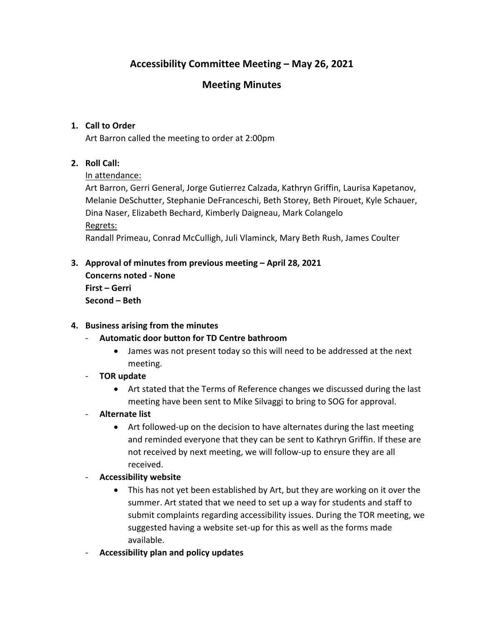# **Accessibility Committee Meeting – May 26, 2021**

## **Meeting Minutes**

## **1. Call to Order**

Art Barron called the meeting to order at 2:00pm

### **2. Roll Call:**

### In attendance:

Art Barron, Gerri General, Jorge Gutierrez Calzada, Kathryn Griffin, Laurisa Kapetanov, Melanie DeSchutter, Stephanie DeFranceschi, Beth Storey, Beth Pirouet, Kyle Schauer, Dina Naser, Elizabeth Bechard, Kimberly Daigneau, Mark Colangelo Regrets:

Randall Primeau, Conrad McCulligh, Juli Vlaminck, Mary Beth Rush, James Coulter

**3. Approval of minutes from previous meeting – April 28, 2021 Concerns noted - None First – Gerri Second – Beth**

#### **4. Business arising from the minutes**

#### - **Automatic door button for TD Centre bathroom**

- James was not present today so this will need to be addressed at the next meeting.
- **TOR update**
	- Art stated that the Terms of Reference changes we discussed during the last meeting have been sent to Mike Silvaggi to bring to SOG for approval.
- **Alternate list**
	- Art followed-up on the decision to have alternates during the last meeting and reminded everyone that they can be sent to Kathryn Griffin. If these are not received by next meeting, we will follow-up to ensure they are all received.
- **Accessibility website**
	- This has not yet been established by Art, but they are working on it over the summer. Art stated that we need to set up a way for students and staff to submit complaints regarding accessibility issues. During the TOR meeting, we suggested having a website set-up for this as well as the forms made available.
- **Accessibility plan and policy updates**